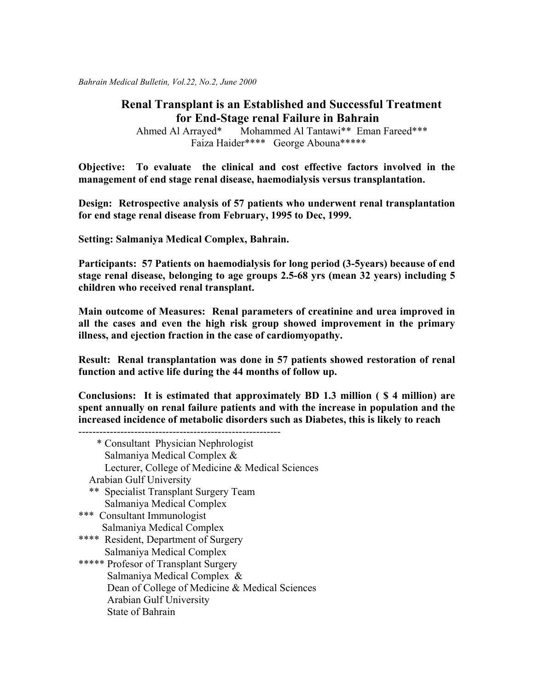*Bahrain Medical Bulletin, Vol.22, No.2, June 2000* 

# **Renal Transplant is an Established and Successful Treatment for End-Stage renal Failure in Bahrain**

 Ahmed Al Arrayed\* Mohammed Al Tantawi\*\* Eman Fareed\*\*\* Faiza Haider\*\*\*\* George Abouna\*\*\*\*\*

**Objective: To evaluate the clinical and cost effective factors involved in the management of end stage renal disease, haemodialysis versus transplantation.** 

**Design: Retrospective analysis of 57 patients who underwent renal transplantation for end stage renal disease from February, 1995 to Dec, 1999.** 

**Setting: Salmaniya Medical Complex, Bahrain.** 

**Participants: 57 Patients on haemodialysis for long period (3-5years) because of end stage renal disease, belonging to age groups 2.5-68 yrs (mean 32 years) including 5 children who received renal transplant.** 

**Main outcome of Measures: Renal parameters of creatinine and urea improved in all the cases and even the high risk group showed improvement in the primary illness, and ejection fraction in the case of cardiomyopathy.** 

**Result: Renal transplantation was done in 57 patients showed restoration of renal function and active life during the 44 months of follow up.** 

**Conclusions: It is estimated that approximately BD 1.3 million ( \$ 4 million) are spent annually on renal failure patients and with the increase in population and the increased incidence of metabolic disorders such as Diabetes, this is likely to reach** 

| * Consultant Physician Nephrologist              |
|--------------------------------------------------|
| Salmaniya Medical Complex &                      |
| Lecturer, College of Medicine & Medical Sciences |
| <b>Arabian Gulf University</b>                   |
| ** Specialist Transplant Surgery Team            |
| Salmaniya Medical Complex                        |
| *** Consultant Immunologist                      |
| Salmaniya Medical Complex                        |
| **** Resident, Department of Surgery             |
| Salmaniya Medical Complex                        |
| ***** Profesor of Transplant Surgery             |
| Salmaniya Medical Complex &                      |
| Dean of College of Medicine & Medical Sciences   |
| <b>Arabian Gulf University</b>                   |
| <b>State of Bahrain</b>                          |
|                                                  |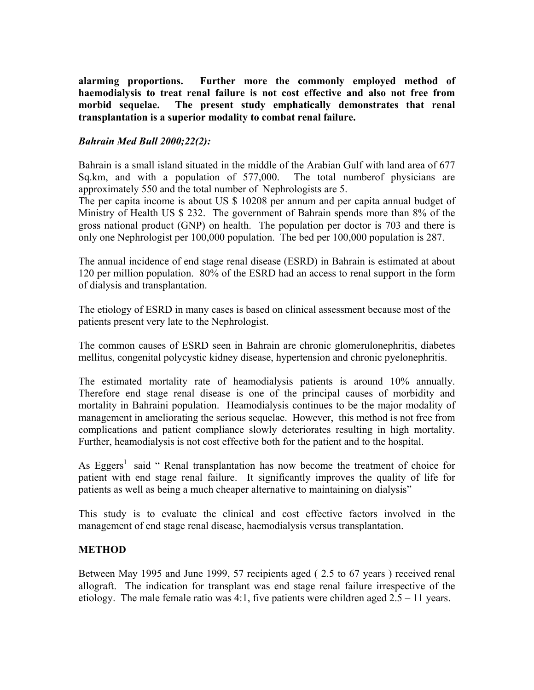**alarming proportions. Further more the commonly employed method of haemodialysis to treat renal failure is not cost effective and also not free from morbid sequelae. The present study emphatically demonstrates that renal transplantation is a superior modality to combat renal failure.** 

### *Bahrain Med Bull 2000;22(2):*

Bahrain is a small island situated in the middle of the Arabian Gulf with land area of 677 Sq.km, and with a population of 577,000. The total numberof physicians are approximately 550 and the total number of Nephrologists are 5.

The per capita income is about US \$ 10208 per annum and per capita annual budget of Ministry of Health US \$ 232. The government of Bahrain spends more than 8% of the gross national product (GNP) on health. The population per doctor is 703 and there is only one Nephrologist per 100,000 population. The bed per 100,000 population is 287.

The annual incidence of end stage renal disease (ESRD) in Bahrain is estimated at about 120 per million population. 80% of the ESRD had an access to renal support in the form of dialysis and transplantation.

The etiology of ESRD in many cases is based on clinical assessment because most of the patients present very late to the Nephrologist.

The common causes of ESRD seen in Bahrain are chronic glomerulonephritis, diabetes mellitus, congenital polycystic kidney disease, hypertension and chronic pyelonephritis.

The estimated mortality rate of heamodialysis patients is around 10% annually. Therefore end stage renal disease is one of the principal causes of morbidity and mortality in Bahraini population. Heamodialysis continues to be the major modality of management in ameliorating the serious sequelae. However, this method is not free from complications and patient compliance slowly deteriorates resulting in high mortality. Further, heamodialysis is not cost effective both for the patient and to the hospital.

As Eggers<sup>1</sup> said " Renal transplantation has now become the treatment of choice for patient with end stage renal failure. It significantly improves the quality of life for patients as well as being a much cheaper alternative to maintaining on dialysis"

This study is to evaluate the clinical and cost effective factors involved in the management of end stage renal disease, haemodialysis versus transplantation.

#### **METHOD**

Between May 1995 and June 1999, 57 recipients aged ( 2.5 to 67 years ) received renal allograft. The indication for transplant was end stage renal failure irrespective of the etiology. The male female ratio was 4:1, five patients were children aged  $2.5 - 11$  years.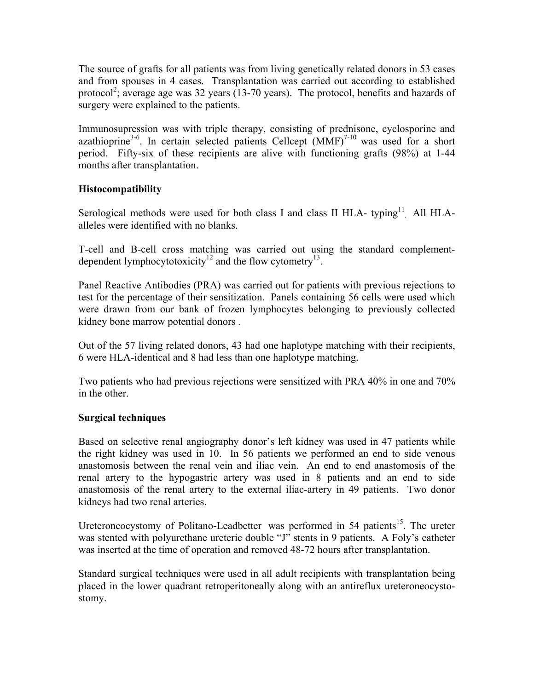The source of grafts for all patients was from living genetically related donors in 53 cases and from spouses in 4 cases. Transplantation was carried out according to established protocol<sup>2</sup>; average age was 32 years (13-70 years). The protocol, benefits and hazards of surgery were explained to the patients.

Immunosupression was with triple therapy, consisting of prednisone, cyclosporine and azathioprine<sup>3-6</sup>. In certain selected patients Cellcept  $(MMF)^{7-10}$  was used for a short period. Fifty-six of these recipients are alive with functioning grafts (98%) at 1-44 months after transplantation.

### **Histocompatibility**

Serological methods were used for both class I and class II HLA- typing<sup>11</sup>. All HLAalleles were identified with no blanks.

T-cell and B-cell cross matching was carried out using the standard complementdependent lymphocytotoxicity<sup>12</sup> and the flow cytometry<sup>13</sup>.

Panel Reactive Antibodies (PRA) was carried out for patients with previous rejections to test for the percentage of their sensitization. Panels containing 56 cells were used which were drawn from our bank of frozen lymphocytes belonging to previously collected kidney bone marrow potential donors .

Out of the 57 living related donors, 43 had one haplotype matching with their recipients, 6 were HLA-identical and 8 had less than one haplotype matching.

Two patients who had previous rejections were sensitized with PRA 40% in one and 70% in the other.

### **Surgical techniques**

Based on selective renal angiography donor's left kidney was used in 47 patients while the right kidney was used in 10. In 56 patients we performed an end to side venous anastomosis between the renal vein and iliac vein. An end to end anastomosis of the renal artery to the hypogastric artery was used in 8 patients and an end to side anastomosis of the renal artery to the external iliac-artery in 49 patients. Two donor kidneys had two renal arteries.

Ureteroneocystomy of Politano-Leadbetter was performed in 54 patients<sup>15</sup>. The ureter was stented with polyurethane ureteric double "J" stents in 9 patients. A Foly's catheter was inserted at the time of operation and removed 48-72 hours after transplantation.

Standard surgical techniques were used in all adult recipients with transplantation being placed in the lower quadrant retroperitoneally along with an antireflux ureteroneocystostomy.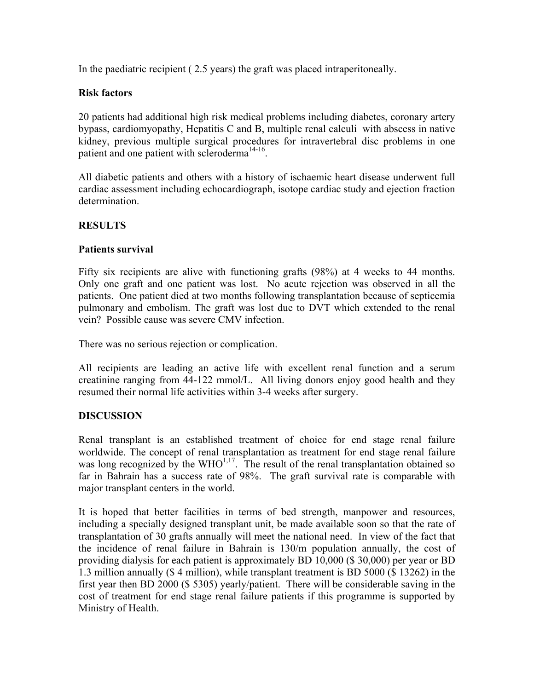In the paediatric recipient ( 2.5 years) the graft was placed intraperitoneally.

# **Risk factors**

20 patients had additional high risk medical problems including diabetes, coronary artery bypass, cardiomyopathy, Hepatitis C and B, multiple renal calculi with abscess in native kidney, previous multiple surgical procedures for intravertebral disc problems in one patient and one patient with scleroderma<sup>14-16</sup>.

All diabetic patients and others with a history of ischaemic heart disease underwent full cardiac assessment including echocardiograph, isotope cardiac study and ejection fraction determination.

# **RESULTS**

# **Patients survival**

Fifty six recipients are alive with functioning grafts (98%) at 4 weeks to 44 months. Only one graft and one patient was lost. No acute rejection was observed in all the patients. One patient died at two months following transplantation because of septicemia pulmonary and embolism. The graft was lost due to DVT which extended to the renal vein? Possible cause was severe CMV infection.

There was no serious rejection or complication.

All recipients are leading an active life with excellent renal function and a serum creatinine ranging from 44-122 mmol/L. All living donors enjoy good health and they resumed their normal life activities within 3-4 weeks after surgery.

### **DISCUSSION**

Renal transplant is an established treatment of choice for end stage renal failure worldwide. The concept of renal transplantation as treatment for end stage renal failure was long recognized by the WHO $^{1,17}$ . The result of the renal transplantation obtained so far in Bahrain has a success rate of 98%. The graft survival rate is comparable with major transplant centers in the world.

It is hoped that better facilities in terms of bed strength, manpower and resources, including a specially designed transplant unit, be made available soon so that the rate of transplantation of 30 grafts annually will meet the national need. In view of the fact that the incidence of renal failure in Bahrain is 130/m population annually, the cost of providing dialysis for each patient is approximately BD 10,000 (\$ 30,000) per year or BD 1.3 million annually (\$ 4 million), while transplant treatment is BD 5000 (\$ 13262) in the first year then BD 2000 (\$ 5305) yearly/patient. There will be considerable saving in the cost of treatment for end stage renal failure patients if this programme is supported by Ministry of Health.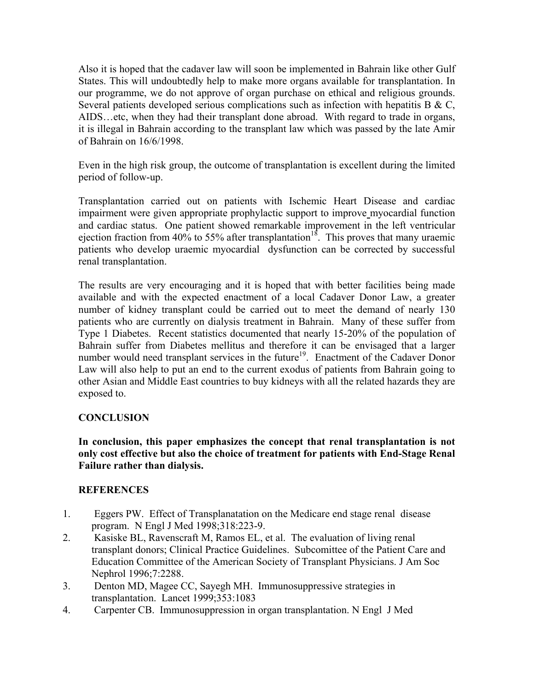Also it is hoped that the cadaver law will soon be implemented in Bahrain like other Gulf States. This will undoubtedly help to make more organs available for transplantation. In our programme, we do not approve of organ purchase on ethical and religious grounds. Several patients developed serious complications such as infection with hepatitis B  $\&$  C, AIDS…etc, when they had their transplant done abroad. With regard to trade in organs, it is illegal in Bahrain according to the transplant law which was passed by the late Amir of Bahrain on 16/6/1998.

Even in the high risk group, the outcome of transplantation is excellent during the limited period of follow-up.

Transplantation carried out on patients with Ischemic Heart Disease and cardiac impairment were given appropriate prophylactic support to improve myocardial function and cardiac status. One patient showed remarkable improvement in the left ventricular ejection fraction from 40% to 55% after transplantation<sup>18</sup>. This proves that many uraemic patients who develop uraemic myocardial dysfunction can be corrected by successful renal transplantation.

The results are very encouraging and it is hoped that with better facilities being made available and with the expected enactment of a local Cadaver Donor Law, a greater number of kidney transplant could be carried out to meet the demand of nearly 130 patients who are currently on dialysis treatment in Bahrain. Many of these suffer from Type 1 Diabetes. Recent statistics documented that nearly 15-20% of the population of Bahrain suffer from Diabetes mellitus and therefore it can be envisaged that a larger number would need transplant services in the future<sup>19</sup>. Enactment of the Cadaver Donor Law will also help to put an end to the current exodus of patients from Bahrain going to other Asian and Middle East countries to buy kidneys with all the related hazards they are exposed to.

### **CONCLUSION**

**In conclusion, this paper emphasizes the concept that renal transplantation is not only cost effective but also the choice of treatment for patients with End-Stage Renal Failure rather than dialysis.** 

### **REFERENCES**

- 1. Eggers PW. Effect of Transplanatation on the Medicare end stage renal disease program. N Engl J Med 1998;318:223-9.
- 2. Kasiske BL, Ravenscraft M, Ramos EL, et al. The evaluation of living renal transplant donors; Clinical Practice Guidelines. Subcomittee of the Patient Care and Education Committee of the American Society of Transplant Physicians. J Am Soc Nephrol 1996;7:2288.
- 3. Denton MD, Magee CC, Sayegh MH. Immunosuppressive strategies in transplantation. Lancet 1999;353:1083
- 4. Carpenter CB. Immunosuppression in organ transplantation. N Engl J Med